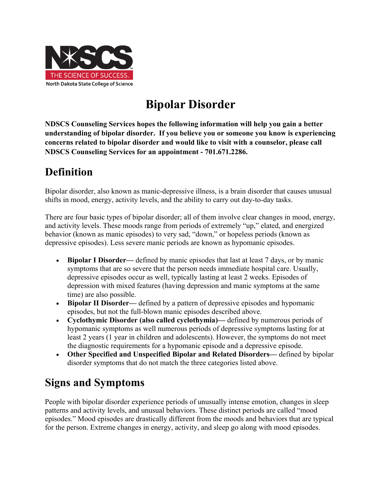

# **Bipolar Disorder**

**NDSCS Counseling Services hopes the following information will help you gain a better understanding of bipolar disorder. If you believe you or someone you know is experiencing concerns related to bipolar disorder and would like to visit with a counselor, please call NDSCS Counseling Services for an appointment - 701.671.2286.** 

### **Definition**

Bipolar disorder, also known as manic-depressive illness, is a brain disorder that causes unusual shifts in mood, energy, activity levels, and the ability to carry out day-to-day tasks.

There are four basic types of bipolar disorder; all of them involve clear changes in mood, energy, and activity levels. These moods range from periods of extremely "up," elated, and energized behavior (known as manic episodes) to very sad, "down," or hopeless periods (known as depressive episodes). Less severe manic periods are known as hypomanic episodes.

- **Bipolar I Disorder—** defined by manic episodes that last at least 7 days, or by manic symptoms that are so severe that the person needs immediate hospital care. Usually, depressive episodes occur as well, typically lasting at least 2 weeks. Episodes of depression with mixed features (having depression and manic symptoms at the same time) are also possible.
- **Bipolar II Disorder—** defined by a pattern of depressive episodes and hypomanic episodes, but not the full-blown manic episodes described above.
- **Cyclothymic Disorder (also called cyclothymia)—** defined by numerous periods of hypomanic symptoms as well numerous periods of depressive symptoms lasting for at least 2 years (1 year in children and adolescents). However, the symptoms do not meet the diagnostic requirements for a hypomanic episode and a depressive episode.
- **Other Specified and Unspecified Bipolar and Related Disorders—** defined by bipolar disorder symptoms that do not match the three categories listed above.

# **Signs and Symptoms**

People with bipolar disorder experience periods of unusually intense emotion, changes in sleep patterns and activity levels, and unusual behaviors. These distinct periods are called "mood episodes." Mood episodes are drastically different from the moods and behaviors that are typical for the person. Extreme changes in energy, activity, and sleep go along with mood episodes.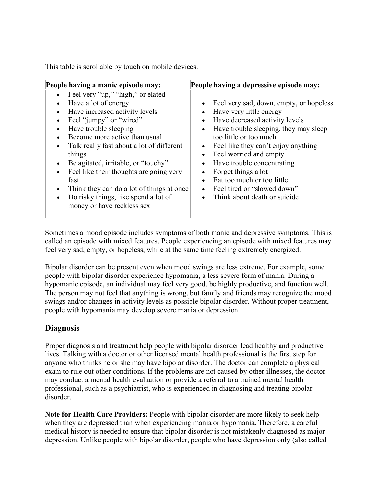This table is scrollable by touch on mobile devices.

| People having a manic episode may:                                                                                                                                                                                                                                                                                                                                                                                                                                                                                                                                                     | People having a depressive episode may:                                                                                                                                                                                                                                                                                                                                                    |
|----------------------------------------------------------------------------------------------------------------------------------------------------------------------------------------------------------------------------------------------------------------------------------------------------------------------------------------------------------------------------------------------------------------------------------------------------------------------------------------------------------------------------------------------------------------------------------------|--------------------------------------------------------------------------------------------------------------------------------------------------------------------------------------------------------------------------------------------------------------------------------------------------------------------------------------------------------------------------------------------|
| Feel very "up," "high," or elated<br>$\bullet$<br>Have a lot of energy<br>$\bullet$<br>Have increased activity levels<br>$\bullet$<br>Feel "jumpy" or "wired"<br>$\bullet$<br>Have trouble sleeping<br>$\bullet$<br>Become more active than usual<br>Talk really fast about a lot of different<br>$\bullet$<br>things<br>Be agitated, irritable, or "touchy"<br>$\bullet$<br>Feel like their thoughts are going very<br>$\bullet$<br>fast<br>Think they can do a lot of things at once<br>$\bullet$<br>Do risky things, like spend a lot of<br>$\bullet$<br>money or have reckless sex | Feel very sad, down, empty, or hopeless<br>Have very little energy<br>Have decreased activity levels<br>Have trouble sleeping, they may sleep<br>too little or too much<br>Feel like they can't enjoy anything<br>Feel worried and empty<br>Have trouble concentrating<br>Forget things a lot<br>Eat too much or too little<br>Feel tired or "slowed down"<br>Think about death or suicide |

Sometimes a mood episode includes symptoms of both manic and depressive symptoms. This is called an episode with mixed features. People experiencing an episode with mixed features may feel very sad, empty, or hopeless, while at the same time feeling extremely energized.

Bipolar disorder can be present even when mood swings are less extreme. For example, some people with bipolar disorder experience hypomania, a less severe form of mania. During a hypomanic episode, an individual may feel very good, be highly productive, and function well. The person may not feel that anything is wrong, but family and friends may recognize the mood swings and/or changes in activity levels as possible bipolar disorder. Without proper treatment, people with hypomania may develop severe mania or depression.

#### **Diagnosis**

Proper diagnosis and treatment help people with bipolar disorder lead healthy and productive lives. Talking with a doctor or other licensed mental health professional is the first step for anyone who thinks he or she may have bipolar disorder. The doctor can complete a physical exam to rule out other conditions. If the problems are not caused by other illnesses, the doctor may conduct a mental health evaluation or provide a referral to a trained mental health professional, such as a psychiatrist, who is experienced in diagnosing and treating bipolar disorder.

**Note for Health Care Providers:** People with bipolar disorder are more likely to seek help when they are depressed than when experiencing mania or hypomania. Therefore, a careful medical history is needed to ensure that bipolar disorder is not mistakenly diagnosed as major depression. Unlike people with bipolar disorder, people who have depression only (also called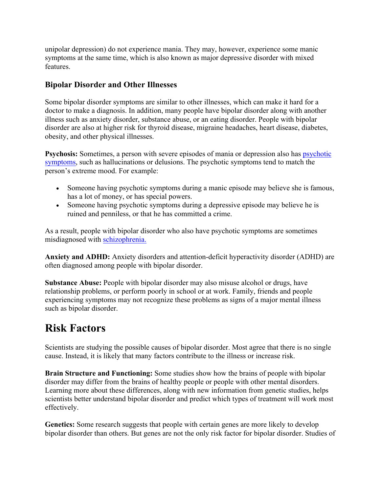unipolar depression) do not experience mania. They may, however, experience some manic symptoms at the same time, which is also known as major depressive disorder with mixed features.

#### **Bipolar Disorder and Other Illnesses**

Some bipolar disorder symptoms are similar to other illnesses, which can make it hard for a doctor to make a diagnosis. In addition, many people have bipolar disorder along with another illness such as anxiety disorder, substance abuse, or an eating disorder. People with bipolar disorder are also at higher risk for thyroid disease, migraine headaches, heart disease, diabetes, obesity, and other physical illnesses.

**Psychosis:** Sometimes, a person with severe episodes of mania or depression also has psychotic symptoms, such as hallucinations or delusions. The psychotic symptoms tend to match the person's extreme mood. For example:

- Someone having psychotic symptoms during a manic episode may believe she is famous, has a lot of money, or has special powers.
- Someone having psychotic symptoms during a depressive episode may believe he is ruined and penniless, or that he has committed a crime.

As a result, people with bipolar disorder who also have psychotic symptoms are sometimes misdiagnosed with schizophrenia.

**Anxiety and ADHD:** Anxiety disorders and attention-deficit hyperactivity disorder (ADHD) are often diagnosed among people with bipolar disorder.

**Substance Abuse:** People with bipolar disorder may also misuse alcohol or drugs, have relationship problems, or perform poorly in school or at work. Family, friends and people experiencing symptoms may not recognize these problems as signs of a major mental illness such as bipolar disorder.

### **Risk Factors**

Scientists are studying the possible causes of bipolar disorder. Most agree that there is no single cause. Instead, it is likely that many factors contribute to the illness or increase risk.

**Brain Structure and Functioning:** Some studies show how the brains of people with bipolar disorder may differ from the brains of healthy people or people with other mental disorders. Learning more about these differences, along with new information from genetic studies, helps scientists better understand bipolar disorder and predict which types of treatment will work most effectively.

**Genetics:** Some research suggests that people with certain genes are more likely to develop bipolar disorder than others. But genes are not the only risk factor for bipolar disorder. Studies of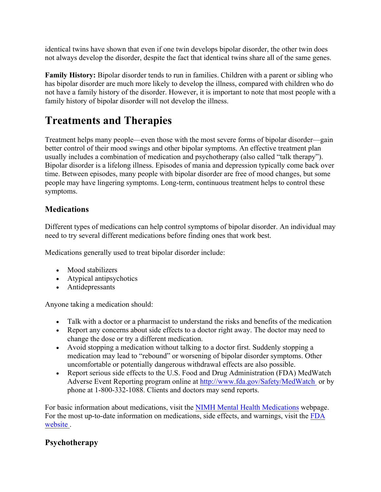identical twins have shown that even if one twin develops bipolar disorder, the other twin does not always develop the disorder, despite the fact that identical twins share all of the same genes.

**Family History:** Bipolar disorder tends to run in families. Children with a parent or sibling who has bipolar disorder are much more likely to develop the illness, compared with children who do not have a family history of the disorder. However, it is important to note that most people with a family history of bipolar disorder will not develop the illness.

### **Treatments and Therapies**

Treatment helps many people—even those with the most severe forms of bipolar disorder—gain better control of their mood swings and other bipolar symptoms. An effective treatment plan usually includes a combination of medication and psychotherapy (also called "talk therapy"). Bipolar disorder is a lifelong illness. Episodes of mania and depression typically come back over time. Between episodes, many people with bipolar disorder are free of mood changes, but some people may have lingering symptoms. Long-term, continuous treatment helps to control these symptoms.

#### **Medications**

Different types of medications can help control symptoms of bipolar disorder. An individual may need to try several different medications before finding ones that work best.

Medications generally used to treat bipolar disorder include:

- Mood stabilizers
- Atypical antipsychotics
- Antidepressants

Anyone taking a medication should:

- Talk with a doctor or a pharmacist to understand the risks and benefits of the medication
- Report any concerns about side effects to a doctor right away. The doctor may need to change the dose or try a different medication.
- Avoid stopping a medication without talking to a doctor first. Suddenly stopping a medication may lead to "rebound" or worsening of bipolar disorder symptoms. Other uncomfortable or potentially dangerous withdrawal effects are also possible.
- Report serious side effects to the U.S. Food and Drug Administration (FDA) MedWatch Adverse Event Reporting program online at http://www.fda.gov/Safety/MedWatch or by phone at 1-800-332-1088. Clients and doctors may send reports.

For basic information about medications, visit the NIMH Mental Health Medications webpage. For the most up-to-date information on medications, side effects, and warnings, visit the FDA website .

#### **Psychotherapy**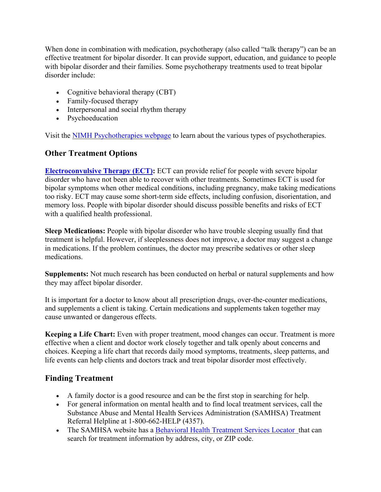When done in combination with medication, psychotherapy (also called "talk therapy") can be an effective treatment for bipolar disorder. It can provide support, education, and guidance to people with bipolar disorder and their families. Some psychotherapy treatments used to treat bipolar disorder include:

- Cognitive behavioral therapy (CBT)
- Family-focused therapy
- Interpersonal and social rhythm therapy
- Psychoeducation

Visit the NIMH Psychotherapies webpage to learn about the various types of psychotherapies.

#### **Other Treatment Options**

**Electroconvulsive Therapy (ECT):** ECT can provide relief for people with severe bipolar disorder who have not been able to recover with other treatments. Sometimes ECT is used for bipolar symptoms when other medical conditions, including pregnancy, make taking medications too risky. ECT may cause some short-term side effects, including confusion, disorientation, and memory loss. People with bipolar disorder should discuss possible benefits and risks of ECT with a qualified health professional.

**Sleep Medications:** People with bipolar disorder who have trouble sleeping usually find that treatment is helpful. However, if sleeplessness does not improve, a doctor may suggest a change in medications. If the problem continues, the doctor may prescribe sedatives or other sleep medications.

**Supplements:** Not much research has been conducted on herbal or natural supplements and how they may affect bipolar disorder.

It is important for a doctor to know about all prescription drugs, over-the-counter medications, and supplements a client is taking. Certain medications and supplements taken together may cause unwanted or dangerous effects.

**Keeping a Life Chart:** Even with proper treatment, mood changes can occur. Treatment is more effective when a client and doctor work closely together and talk openly about concerns and choices. Keeping a life chart that records daily mood symptoms, treatments, sleep patterns, and life events can help clients and doctors track and treat bipolar disorder most effectively.

#### **Finding Treatment**

- A family doctor is a good resource and can be the first stop in searching for help.
- For general information on mental health and to find local treatment services, call the Substance Abuse and Mental Health Services Administration (SAMHSA) Treatment Referral Helpline at 1-800-662-HELP (4357).
- The SAMHSA website has a Behavioral Health Treatment Services Locator that can search for treatment information by address, city, or ZIP code.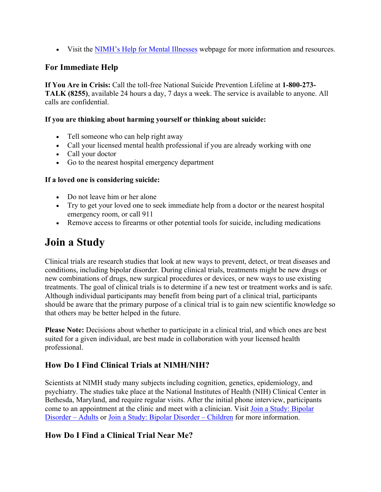• Visit the NIMH's Help for Mental Illnesses webpage for more information and resources.

#### **For Immediate Help**

**If You Are in Crisis:** Call the toll-free National Suicide Prevention Lifeline at **1-800-273- TALK (8255)**, available 24 hours a day, 7 days a week. The service is available to anyone. All calls are confidential.

#### **If you are thinking about harming yourself or thinking about suicide:**

- Tell someone who can help right away
- Call your licensed mental health professional if you are already working with one
- Call your doctor
- Go to the nearest hospital emergency department

#### **If a loved one is considering suicide:**

- Do not leave him or her alone
- Try to get your loved one to seek immediate help from a doctor or the nearest hospital emergency room, or call 911
- Remove access to firearms or other potential tools for suicide, including medications

### **Join a Study**

Clinical trials are research studies that look at new ways to prevent, detect, or treat diseases and conditions, including bipolar disorder. During clinical trials, treatments might be new drugs or new combinations of drugs, new surgical procedures or devices, or new ways to use existing treatments. The goal of clinical trials is to determine if a new test or treatment works and is safe. Although individual participants may benefit from being part of a clinical trial, participants should be aware that the primary purpose of a clinical trial is to gain new scientific knowledge so that others may be better helped in the future.

**Please Note:** Decisions about whether to participate in a clinical trial, and which ones are best suited for a given individual, are best made in collaboration with your licensed health professional.

#### **How Do I Find Clinical Trials at NIMH/NIH?**

Scientists at NIMH study many subjects including cognition, genetics, epidemiology, and psychiatry. The studies take place at the National Institutes of Health (NIH) Clinical Center in Bethesda, Maryland, and require regular visits. After the initial phone interview, participants come to an appointment at the clinic and meet with a clinician. Visit Join a Study: Bipolar Disorder – Adults or Join a Study: Bipolar Disorder – Children for more information.

#### **How Do I Find a Clinical Trial Near Me?**